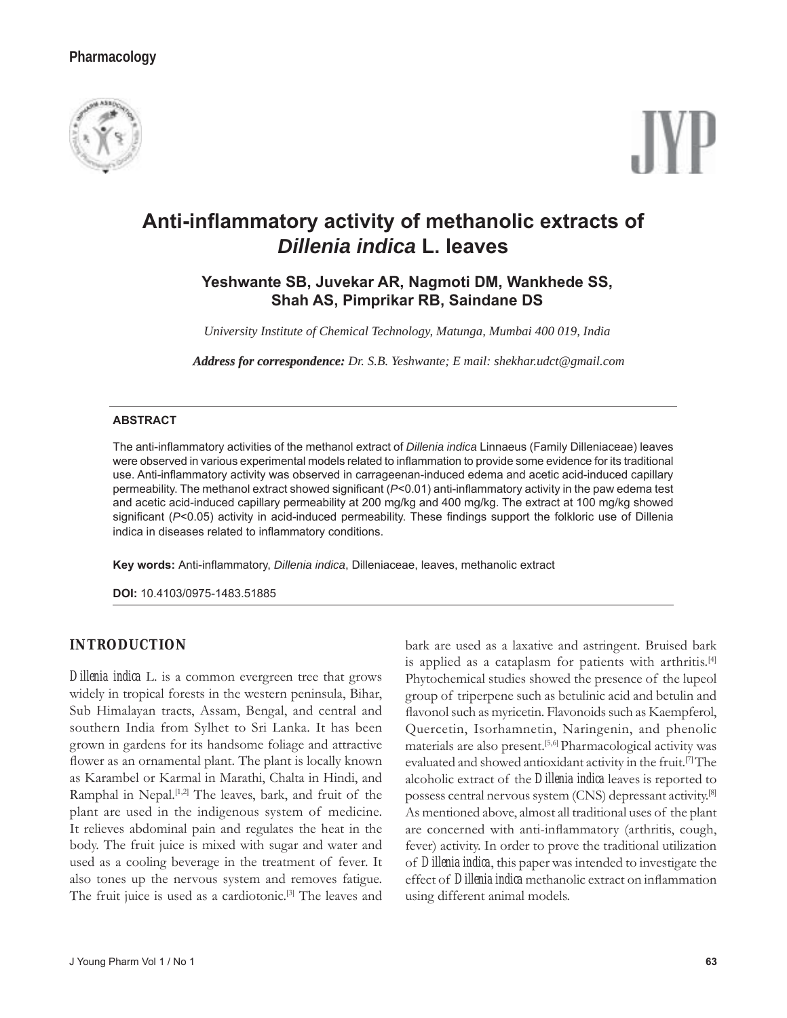# **Pharmacology**





# **Anti-infl ammatory activity of methanolic extracts of**  *Dillenia indica* **L. leaves**

# **Yeshwante SB, Juvekar AR, Nagmoti DM, Wankhede SS, Shah AS, Pimprikar RB, Saindane DS**

*University Institute of Chemical Technology, Matunga, Mumbai 400 019, India*

*Address for correspondence: Dr. S.B. Yeshwante; E mail: shekhar.udct@gmail.com* 

#### **ABSTRACT**

The anti-inflammatory activities of the methanol extract of *Dillenia indica* Linnaeus (Family Dilleniaceae) leaves were observed in various experimental models related to inflammation to provide some evidence for its traditional use. Anti-inflammatory activity was observed in carrageenan-induced edema and acetic acid-induced capillary permeability. The methanol extract showed significant (*P*<0.01) anti-inflammatory activity in the paw edema test and acetic acid-induced capillary permeability at 200 mg/kg and 400 mg/kg. The extract at 100 mg/kg showed significant (P<0.05) activity in acid-induced permeability. These findings support the folkloric use of Dillenia indica in diseases related to inflammatory conditions.

Key words: Anti-inflammatory, *Dillenia indica*, Dilleniaceae, leaves, methanolic extract

**DOI:** 10.4103/0975-1483.51885

# **INTRODUCTION**

*Dillenia indica* L. is a common evergreen tree that grows widely in tropical forests in the western peninsula, Bihar, Sub Himalayan tracts, Assam, Bengal, and central and southern India from Sylhet to Sri Lanka. It has been grown in gardens for its handsome foliage and attractive flower as an ornamental plant. The plant is locally known as Karambel or Karmal in Marathi, Chalta in Hindi, and Ramphal in Nepal.<sup>[1,2]</sup> The leaves, bark, and fruit of the plant are used in the indigenous system of medicine. It relieves abdominal pain and regulates the heat in the body. The fruit juice is mixed with sugar and water and used as a cooling beverage in the treatment of fever. It also tones up the nervous system and removes fatigue. The fruit juice is used as a cardiotonic.<sup>[3]</sup> The leaves and

bark are used as a laxative and astringent. Bruised bark is applied as a cataplasm for patients with arthritis.<sup>[4]</sup> Phytochemical studies showed the presence of the lupeol group of triperpene such as betulinic acid and betulin and flavonol such as myricetin. Flavonoids such as Kaempferol, Quercetin, Isorhamnetin, Naringenin, and phenolic materials are also present.<sup>[5,6]</sup> Pharmacological activity was evaluated and showed antioxidant activity in the fruit.[7] The alcoholic extract of the *Dillenia indica* leaves is reported to possess central nervous system (CNS) depressant activity.[8] As mentioned above, almost all traditional uses of the plant are concerned with anti-inflammatory (arthritis, cough, fever) activity. In order to prove the traditional utilization of *Dillenia indica*, this paper was intended to investigate the effect of *Dillenia indica* methanolic extract on inflammation using different animal models.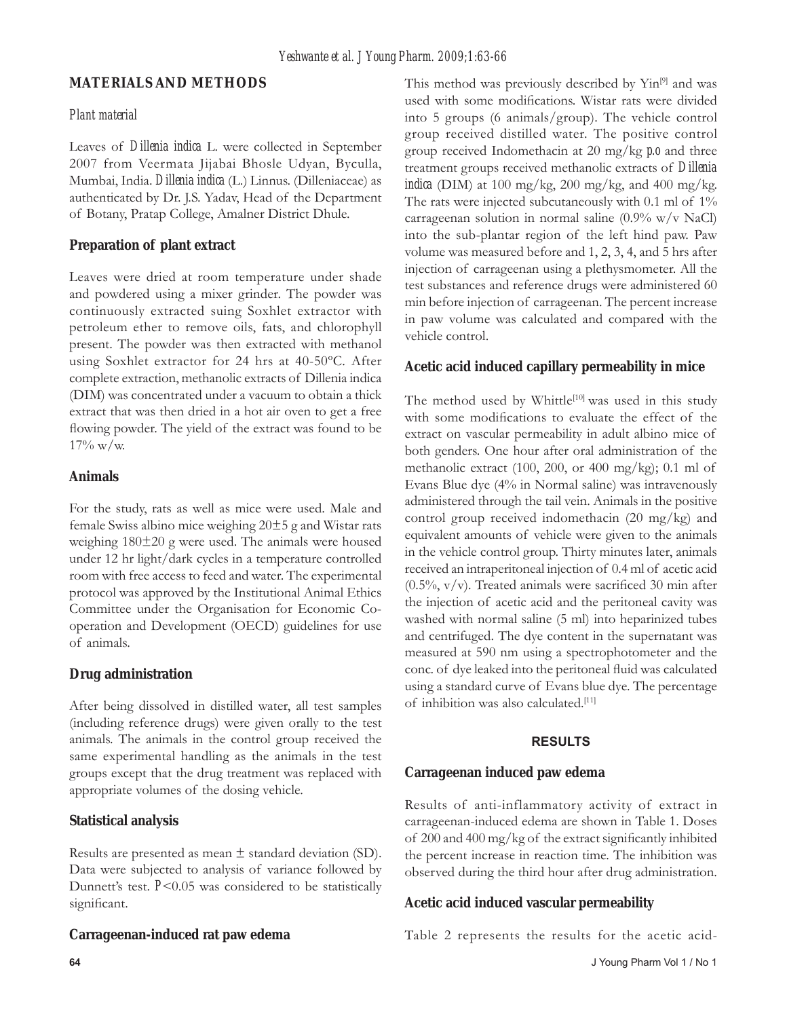# **MATERIALS AND METHODS**

### *Plant material*

Leaves of *Dillenia indica* L. were collected in September 2007 from Veermata Jijabai Bhosle Udyan, Byculla, Mumbai, India. *Dillenia indica* (L.) Linnus. (Dilleniaceae) as authenticated by Dr. J.S. Yadav, Head of the Department of Botany, Pratap College, Amalner District Dhule.

### **Preparation of plant extract**

Leaves were dried at room temperature under shade and powdered using a mixer grinder. The powder was continuously extracted suing Soxhlet extractor with petroleum ether to remove oils, fats, and chlorophyll present. The powder was then extracted with methanol using Soxhlet extractor for 24 hrs at 40-50ºC. After complete extraction, methanolic extracts of Dillenia indica (DIM) was concentrated under a vacuum to obtain a thick extract that was then dried in a hot air oven to get a free flowing powder. The yield of the extract was found to be  $17\% \text{ w/w}.$ 

# **Animals**

For the study, rats as well as mice were used. Male and female Swiss albino mice weighing 20±5 g and Wistar rats weighing 180±20 g were used. The animals were housed under 12 hr light/dark cycles in a temperature controlled room with free access to feed and water. The experimental protocol was approved by the Institutional Animal Ethics Committee under the Organisation for Economic Cooperation and Development (OECD) guidelines for use of animals.

# **Drug administration**

After being dissolved in distilled water, all test samples (including reference drugs) were given orally to the test animals. The animals in the control group received the same experimental handling as the animals in the test groups except that the drug treatment was replaced with appropriate volumes of the dosing vehicle.

# **Statistical analysis**

Results are presented as mean  $\pm$  standard deviation (SD). Data were subjected to analysis of variance followed by Dunnett's test. *P*<0.05 was considered to be statistically significant.

# **Carrageenan-induced rat paw edema**

This method was previously described by Yin<sup>[9]</sup> and was used with some modifications. Wistar rats were divided into 5 groups (6 animals/group). The vehicle control group received distilled water. The positive control group received Indomethacin at 20 mg/kg *p.o* and three treatment groups received methanolic extracts of *Dillenia indica* (DIM) at 100 mg/kg, 200 mg/kg, and 400 mg/kg. The rats were injected subcutaneously with 0.1 ml of  $1\%$ carrageenan solution in normal saline (0.9% w/v NaCl) into the sub-plantar region of the left hind paw. Paw volume was measured before and 1, 2, 3, 4, and 5 hrs after injection of carrageenan using a plethysmometer. All the test substances and reference drugs were administered 60 min before injection of carrageenan. The percent increase in paw volume was calculated and compared with the vehicle control.

# **Acetic acid induced capillary permeability in mice**

The method used by Whittle<sup>[10]</sup> was used in this study with some modifications to evaluate the effect of the extract on vascular permeability in adult albino mice of both genders. One hour after oral administration of the methanolic extract (100, 200, or 400 mg/kg); 0.1 ml of Evans Blue dye (4% in Normal saline) was intravenously administered through the tail vein. Animals in the positive control group received indomethacin (20 mg/kg) and equivalent amounts of vehicle were given to the animals in the vehicle control group. Thirty minutes later, animals received an intraperitoneal injection of 0.4 ml of acetic acid (0.5%,  $v/v$ ). Treated animals were sacrificed 30 min after the injection of acetic acid and the peritoneal cavity was washed with normal saline (5 ml) into heparinized tubes and centrifuged. The dye content in the supernatant was measured at 590 nm using a spectrophotometer and the conc. of dye leaked into the peritoneal fluid was calculated using a standard curve of Evans blue dye. The percentage of inhibition was also calculated.[11]

# **RESULTS**

#### **Carrageenan induced paw edema**

Results of anti-inflammatory activity of extract in carrageenan-induced edema are shown in Table 1. Doses of 200 and 400 mg/kg of the extract significantly inhibited the percent increase in reaction time. The inhibition was observed during the third hour after drug administration.

#### **Acetic acid induced vascular permeability**

Table 2 represents the results for the acetic acid-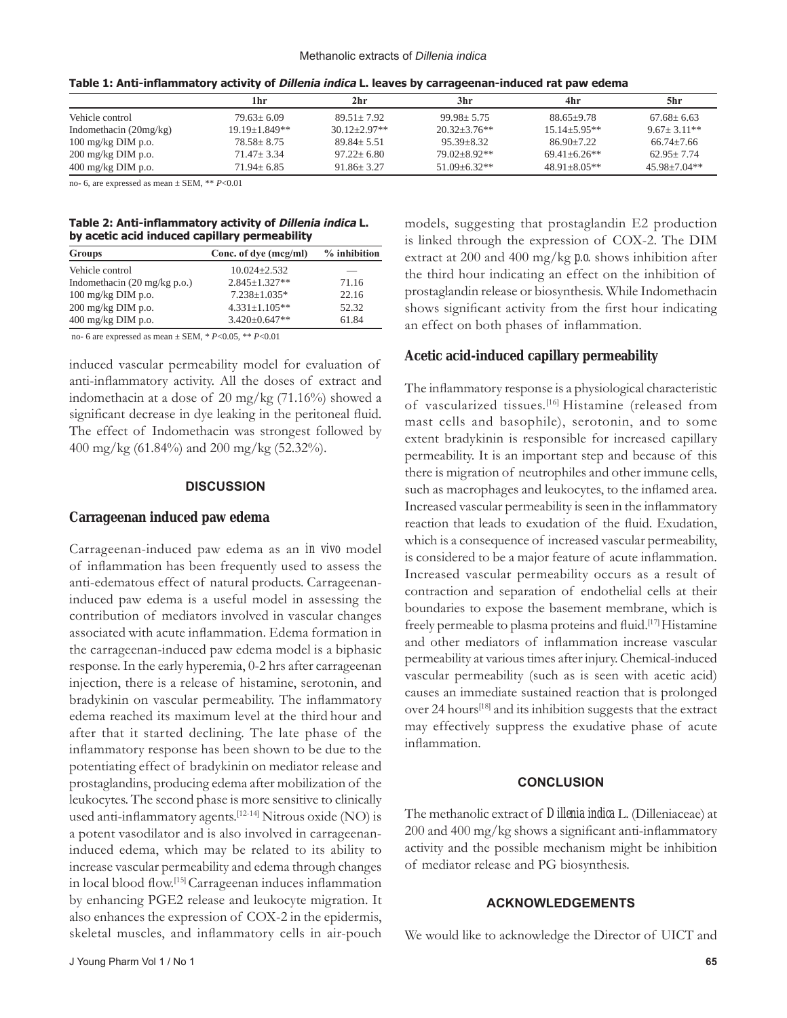|                              | 1hr            | 2hr              | 3hr               | 4hr               | 5hr               |
|------------------------------|----------------|------------------|-------------------|-------------------|-------------------|
| Vehicle control              | $79.63 + 6.09$ | $89.51 + 7.92$   | $99.98 + 5.75$    | $88.65 + 9.78$    | $67.68 + 6.63$    |
| Indomethacin $(20mg/kg)$     | 19.19+1.849**  | $30.12 + 2.97**$ | $20.32 + 3.76$ ** | $15.14 + 5.95**$  | $9.67 + 3.11**$   |
| $100 \text{ mg/kg}$ DIM p.o. | $78.58 + 8.75$ | $89.84 + 5.51$   | $95.39 + 8.32$    | $86.90 + 7.22$    | $66.74 + 7.66$    |
| $200 \text{ mg/kg}$ DIM p.o. | $71.47 + 3.34$ | $97.22 + 6.80$   | $79.02 + 8.92**$  | $69.41 + 6.26$ ** | $62.95 + 7.74$    |
| $400 \text{ mg/kg}$ DIM p.o. | $71.94 + 6.85$ | $91.86 + 3.27$   | $51.09 + 6.32**$  | $48.91 + 8.05**$  | $45.98 + 7.04$ ** |

**Table 1: Anti-infl ammatory activity of Dillenia indica L. leaves by carrageenan-induced rat paw edema**

no- 6, are expressed as mean ± SEM, \*\* *P*<0.01

#### **Table 2: Anti-infl ammatory activity of Dillenia indica L. by acetic acid induced capillary permeability**

| Groups                                 | Conc. of dye (mcg/ml) | $%$ inhibition |  |
|----------------------------------------|-----------------------|----------------|--|
| Vehicle control                        | $10.024 + 2.532$      |                |  |
| Indomethacin $(20 \text{ mg/kg p.o.})$ | $2.845 + 1.327**$     | 71.16          |  |
| $100 \text{ mg/kg}$ DIM p.o.           | $7.238 \pm 1.035*$    | 22.16          |  |
| $200$ mg/kg DIM p.o.                   | $4.331 \pm 1.105$ **  | 52.32          |  |
| $400 \text{ mg/kg}$ DIM p.o.           | $3.420 \pm 0.647**$   | 61.84          |  |

no- 6 are expressed as mean ± SEM, \* *P*<0.05, \*\* *P*<0.01

induced vascular permeability model for evaluation of anti-inflammatory activity. All the doses of extract and indomethacin at a dose of 20 mg/kg (71.16%) showed a significant decrease in dye leaking in the peritoneal fluid. The effect of Indomethacin was strongest followed by 400 mg/kg (61.84%) and 200 mg/kg (52.32%).

#### **DISCUSSION**

#### **Carrageenan induced paw edema**

Carrageenan-induced paw edema as an *in vivo* model of inflammation has been frequently used to assess the anti-edematous effect of natural products. Carrageenaninduced paw edema is a useful model in assessing the contribution of mediators involved in vascular changes associated with acute inflammation. Edema formation in the carrageenan-induced paw edema model is a biphasic response. In the early hyperemia, 0-2 hrs after carrageenan injection, there is a release of histamine, serotonin, and bradykinin on vascular permeability. The inflammatory edema reached its maximum level at the third hour and after that it started declining. The late phase of the inflammatory response has been shown to be due to the potentiating effect of bradykinin on mediator release and prostaglandins, producing edema after mobilization of the leukocytes. The second phase is more sensitive to clinically used anti-inflammatory agents.<sup>[12-14]</sup> Nitrous oxide (NO) is a potent vasodilator and is also involved in carrageenaninduced edema, which may be related to its ability to increase vascular permeability and edema through changes in local blood flow.<sup>[15]</sup> Carrageenan induces inflammation by enhancing PGE2 release and leukocyte migration. It also enhances the expression of COX-2 in the epidermis, skeletal muscles, and inflammatory cells in air-pouch

models, suggesting that prostaglandin E2 production is linked through the expression of COX-2. The DIM extract at 200 and 400 mg/kg *p.o.* shows inhibition after the third hour indicating an effect on the inhibition of prostaglandin release or biosynthesis. While Indomethacin shows significant activity from the first hour indicating an effect on both phases of inflammation.

# **Acetic acid-induced capillary permeability**

The inflammatory response is a physiological characteristic of vascularized tissues.<sup>[16]</sup> Histamine (released from mast cells and basophile), serotonin, and to some extent bradykinin is responsible for increased capillary permeability. It is an important step and because of this there is migration of neutrophiles and other immune cells, such as macrophages and leukocytes, to the inflamed area. Increased vascular permeability is seen in the inflammatory reaction that leads to exudation of the fluid. Exudation, which is a consequence of increased vascular permeability, is considered to be a major feature of acute inflammation. Increased vascular permeability occurs as a result of contraction and separation of endothelial cells at their boundaries to expose the basement membrane, which is freely permeable to plasma proteins and fluid.<sup>[17]</sup> Histamine and other mediators of inflammation increase vascular permeability at various times after injury. Chemical-induced vascular permeability (such as is seen with acetic acid) causes an immediate sustained reaction that is prolonged over 24 hours[18] and its inhibition suggests that the extract may effectively suppress the exudative phase of acute inflammation.

#### **CONCLUSION**

The methanolic extract of *Dillenia indica* L. (Dilleniaceae) at  $200$  and  $400$  mg/kg shows a significant anti-inflammatory activity and the possible mechanism might be inhibition of mediator release and PG biosynthesis.

#### **ACKNOWLEDGEMENTS**

We would like to acknowledge the Director of UICT and